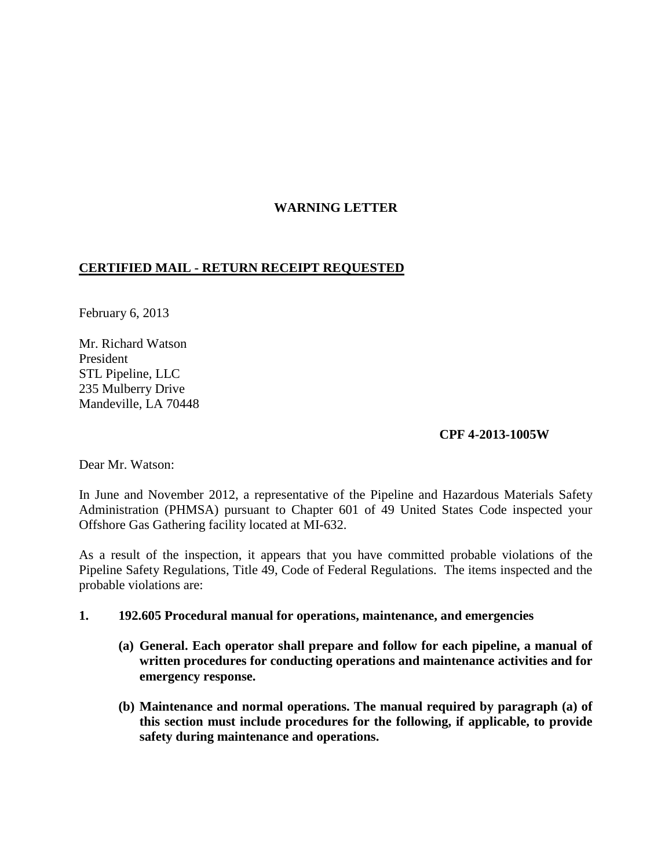# **WARNING LETTER**

## **CERTIFIED MAIL - RETURN RECEIPT REQUESTED**

February 6, 2013

Mr. Richard Watson President STL Pipeline, LLC 235 Mulberry Drive Mandeville, LA 70448

### **CPF 4-2013-1005W**

Dear Mr. Watson:

In June and November 2012, a representative of the Pipeline and Hazardous Materials Safety Administration (PHMSA) pursuant to Chapter 601 of 49 United States Code inspected your Offshore Gas Gathering facility located at MI-632.

As a result of the inspection, it appears that you have committed probable violations of the Pipeline Safety Regulations, Title 49, Code of Federal Regulations. The items inspected and the probable violations are:

#### **1. 192.605 Procedural manual for operations, maintenance, and emergencies**

- **(a) General. Each operator shall prepare and follow for each pipeline, a manual of written procedures for conducting operations and maintenance activities and for emergency response.**
- **(b) Maintenance and normal operations. The manual required by paragraph (a) of this section must include procedures for the following, if applicable, to provide safety during maintenance and operations.**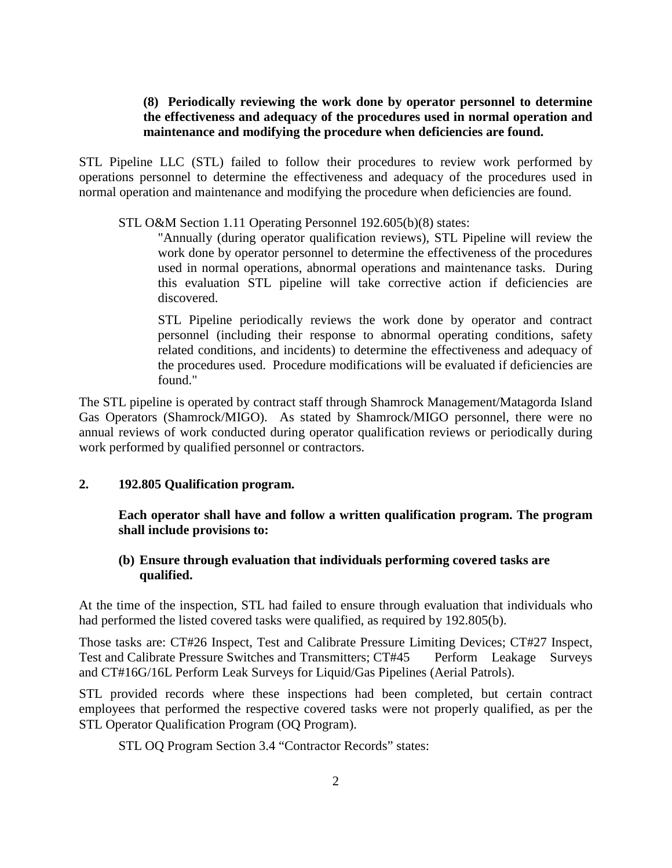## **(8) Periodically reviewing the work done by operator personnel to determine the effectiveness and adequacy of the procedures used in normal operation and maintenance and modifying the procedure when deficiencies are found.**

STL Pipeline LLC (STL) failed to follow their procedures to review work performed by operations personnel to determine the effectiveness and adequacy of the procedures used in normal operation and maintenance and modifying the procedure when deficiencies are found.

STL O&M Section 1.11 Operating Personnel 192.605(b)(8) states:

"Annually (during operator qualification reviews), STL Pipeline will review the work done by operator personnel to determine the effectiveness of the procedures used in normal operations, abnormal operations and maintenance tasks. During this evaluation STL pipeline will take corrective action if deficiencies are discovered.

STL Pipeline periodically reviews the work done by operator and contract personnel (including their response to abnormal operating conditions, safety related conditions, and incidents) to determine the effectiveness and adequacy of the procedures used. Procedure modifications will be evaluated if deficiencies are found."

The STL pipeline is operated by contract staff through Shamrock Management/Matagorda Island Gas Operators (Shamrock/MIGO). As stated by Shamrock/MIGO personnel, there were no annual reviews of work conducted during operator qualification reviews or periodically during work performed by qualified personnel or contractors.

#### **2. 192.805 Qualification program.**

**Each operator shall have and follow a written qualification program. The program shall include provisions to:**

## **(b) Ensure through evaluation that individuals performing covered tasks are qualified.**

At the time of the inspection, STL had failed to ensure through evaluation that individuals who had performed the listed covered tasks were qualified, as required by 192.805(b).

Those tasks are: CT#26 Inspect, Test and Calibrate Pressure Limiting Devices; CT#27 Inspect, Test and Calibrate Pressure Switches and Transmitters; CT#45 Perform Leakage Surveys and CT#16G/16L Perform Leak Surveys for Liquid/Gas Pipelines (Aerial Patrols).

STL provided records where these inspections had been completed, but certain contract employees that performed the respective covered tasks were not properly qualified, as per the STL Operator Qualification Program (OQ Program).

STL OQ Program Section 3.4 "Contractor Records" states: